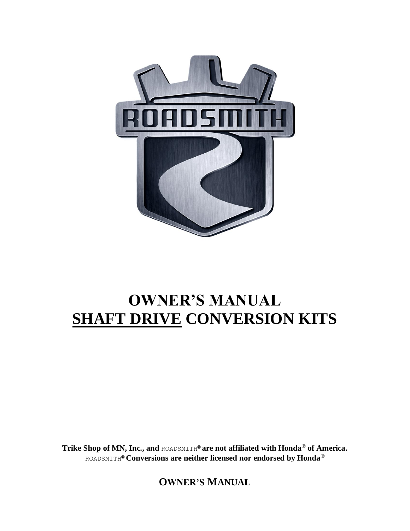

# **OWNER'S MANUAL SHAFT DRIVE CONVERSION KITS**

**Trike Shop of MN, Inc., and** ROADSMITH**® are not affiliated with Honda® of America.**  ROADSMITH**® Conversions are neither licensed nor endorsed by Honda®**

**OWNER'S MANUAL**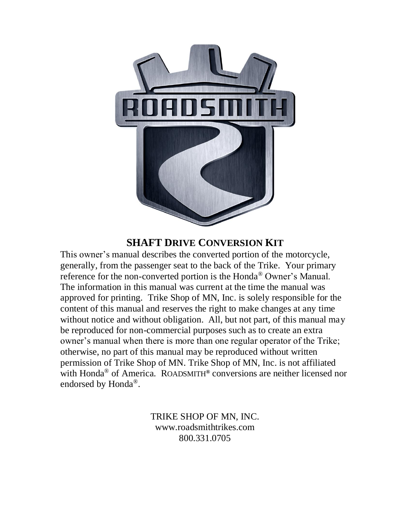

### **SHAFT DRIVE CONVERSION KIT**

This owner's manual describes the converted portion of the motorcycle, generally, from the passenger seat to the back of the Trike. Your primary reference for the non-converted portion is the Honda® Owner's Manual. The information in this manual was current at the time the manual was approved for printing. Trike Shop of MN, Inc. is solely responsible for the content of this manual and reserves the right to make changes at any time without notice and without obligation. All, but not part, of this manual may be reproduced for non-commercial purposes such as to create an extra owner's manual when there is more than one regular operator of the Trike; otherwise, no part of this manual may be reproduced without written permission of Trike Shop of MN. Trike Shop of MN, Inc. is not affiliated with Honda® of America. ROADSMITH**®** conversions are neither licensed nor endorsed by Honda®.

> TRIKE SHOP OF MN, INC. www.roadsmithtrikes.com 800.331.0705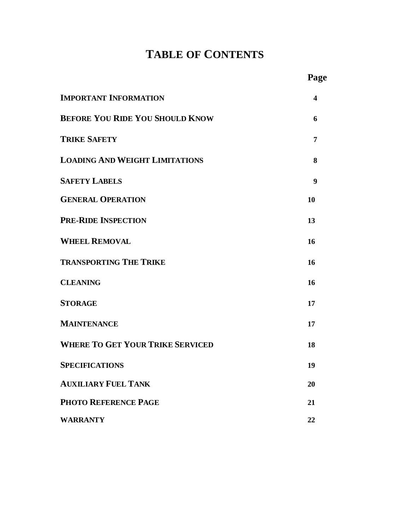## **TABLE OF CONTENTS**

|                                         | Page |
|-----------------------------------------|------|
| <b>IMPORTANT INFORMATION</b>            | 4    |
| <b>BEFORE YOU RIDE YOU SHOULD KNOW</b>  | 6    |
| <b>TRIKE SAFETY</b>                     | 7    |
| <b>LOADING AND WEIGHT LIMITATIONS</b>   | 8    |
| <b>SAFETY LABELS</b>                    | 9    |
| <b>GENERAL OPERATION</b>                | 10   |
| <b>PRE-RIDE INSPECTION</b>              | 13   |
| <b>WHEEL REMOVAL</b>                    | 16   |
| <b>TRANSPORTING THE TRIKE</b>           | 16   |
| <b>CLEANING</b>                         | 16   |
| <b>STORAGE</b>                          | 17   |
| <b>MAINTENANCE</b>                      | 17   |
| <b>WHERE TO GET YOUR TRIKE SERVICED</b> | 18   |
| <b>SPECIFICATIONS</b>                   | 19   |
| <b>AUXILIARY FUEL TANK</b>              | 20   |
| <b>PHOTO REFERENCE PAGE</b>             | 21   |
| <b>WARRANTY</b>                         | 22   |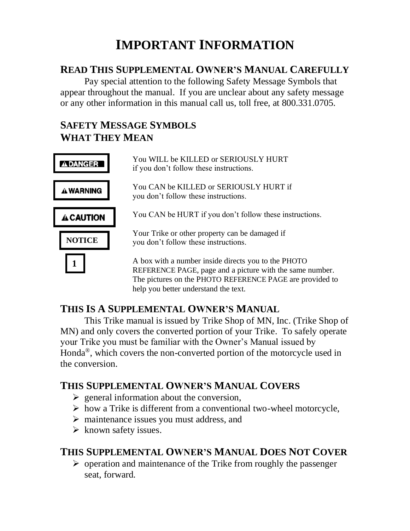# **IMPORTANT INFORMATION**

## **READ THIS SUPPLEMENTAL OWNER'S MANUAL CAREFULLY**

Pay special attention to the following Safety Message Symbols that appear throughout the manual. If you are unclear about any safety message or any other information in this manual call us, toll free, at 800.331.0705.

## **SAFETY MESSAGE SYMBOLS WHAT THEY MEAN**

|                  | You WILL be KILLED or SERIOUSLY HURT<br>if you don't follow these instructions.                                                                                             |
|------------------|-----------------------------------------------------------------------------------------------------------------------------------------------------------------------------|
| A WARNING        | You CAN be KILLED or SERIOUSLY HURT if<br>you don't follow these instructions.                                                                                              |
| <b>A CAUTION</b> | You CAN be HURT if you don't follow these instructions.                                                                                                                     |
| <b>NOTICE</b>    | Your Trike or other property can be damaged if<br>you don't follow these instructions.                                                                                      |
|                  | A box with a number inside directs you to the PHOTO<br>REFERENCE PAGE, page and a picture with the same number.<br>The pictures on the PHOTO REFERENCE PAGE are provided to |

help you better understand the text.

## **THIS IS A SUPPLEMENTAL OWNER'S MANUAL**

This Trike manual is issued by Trike Shop of MN, Inc. (Trike Shop of MN) and only covers the converted portion of your Trike. To safely operate your Trike you must be familiar with the Owner's Manual issued by Honda®, which covers the non-converted portion of the motorcycle used in the conversion.

## **THIS SUPPLEMENTAL OWNER'S MANUAL COVERS**

- $\triangleright$  general information about the conversion,
- $\triangleright$  how a Trike is different from a conventional two-wheel motorcycle,
- ➢ maintenance issues you must address, and
- $\triangleright$  known safety issues.

## **THIS SUPPLEMENTAL OWNER'S MANUAL DOES NOT COVER**

 $\triangleright$  operation and maintenance of the Trike from roughly the passenger seat, forward.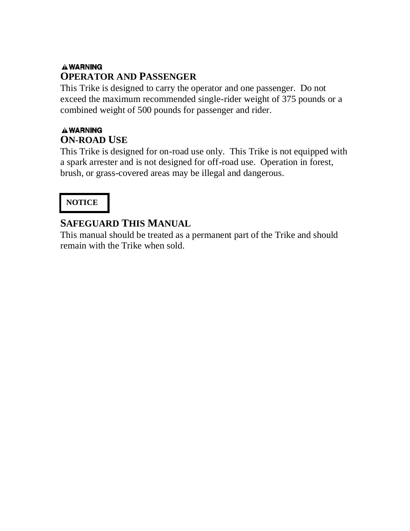## **AWARNING OPERATOR AND PASSENGER**

This Trike is designed to carry the operator and one passenger. Do not exceed the maximum recommended single-rider weight of 375 pounds or a combined weight of 500 pounds for passenger and rider.

## **AWARNING ON-ROAD USE**

This Trike is designed for on-road use only. This Trike is not equipped with a spark arrester and is not designed for off-road use. Operation in forest, brush, or grass-covered areas may be illegal and dangerous.

## **NOTICE**

## **SAFEGUARD THIS MANUAL**

This manual should be treated as a permanent part of the Trike and should remain with the Trike when sold.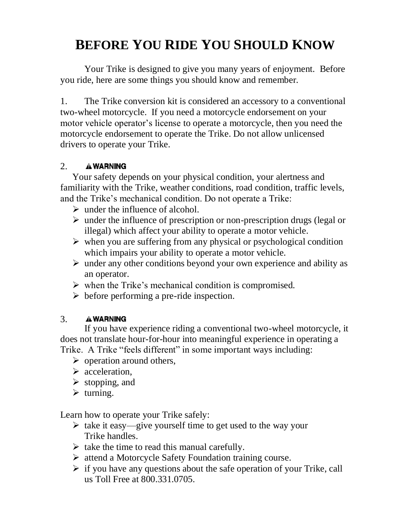# **BEFORE YOU RIDE YOU SHOULD KNOW**

Your Trike is designed to give you many years of enjoyment. Before you ride, here are some things you should know and remember.

1. The Trike conversion kit is considered an accessory to a conventional two-wheel motorcycle. If you need a motorcycle endorsement on your motor vehicle operator's license to operate a motorcycle, then you need the motorcycle endorsement to operate the Trike. Do not allow unlicensed drivers to operate your Trike.

#### 2. **AWARNING**

Your safety depends on your physical condition, your alertness and familiarity with the Trike, weather conditions, road condition, traffic levels, and the Trike's mechanical condition. Do not operate a Trike:

- $\triangleright$  under the influence of alcohol.
- ➢ under the influence of prescription or non-prescription drugs (legal or illegal) which affect your ability to operate a motor vehicle.
- $\triangleright$  when you are suffering from any physical or psychological condition which impairs your ability to operate a motor vehicle.
- $\triangleright$  under any other conditions beyond your own experience and ability as an operator.
- $\triangleright$  when the Trike's mechanical condition is compromised.
- $\triangleright$  before performing a pre-ride inspection.

#### 3. **A WARNING**

If you have experience riding a conventional two-wheel motorcycle, it does not translate hour-for-hour into meaningful experience in operating a Trike. A Trike "feels different" in some important ways including:

- $\triangleright$  operation around others,
- ➢ acceleration,
- $\triangleright$  stopping, and
- $\triangleright$  turning.

Learn how to operate your Trike safely:

- ➢ take it easy—give yourself time to get used to the way your Trike handles.
- $\triangleright$  take the time to read this manual carefully.
- ➢ attend a Motorcycle Safety Foundation training course.
- $\triangleright$  if you have any questions about the safe operation of your Trike, call us Toll Free at 800.331.0705.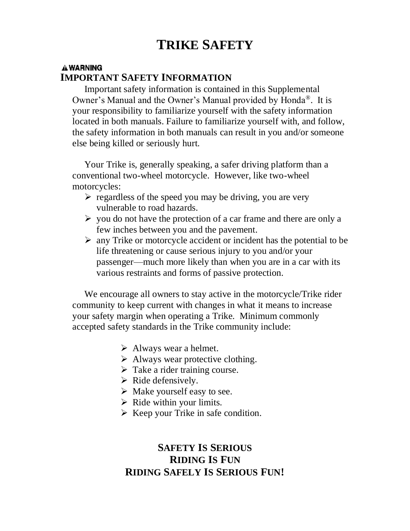# **TRIKE SAFETY**

#### **A WARNING IMPORTANT SAFETY INFORMATION**

Important safety information is contained in this Supplemental Owner's Manual and the Owner's Manual provided by Honda®. It is your responsibility to familiarize yourself with the safety information located in both manuals. Failure to familiarize yourself with, and follow, the safety information in both manuals can result in you and/or someone else being killed or seriously hurt.

Your Trike is, generally speaking, a safer driving platform than a conventional two-wheel motorcycle. However, like two-wheel motorcycles:

- $\triangleright$  regardless of the speed you may be driving, you are very vulnerable to road hazards.
- $\triangleright$  you do not have the protection of a car frame and there are only a few inches between you and the pavement.
- $\triangleright$  any Trike or motorcycle accident or incident has the potential to be life threatening or cause serious injury to you and/or your passenger—much more likely than when you are in a car with its various restraints and forms of passive protection.

We encourage all owners to stay active in the motorcycle/Trike rider community to keep current with changes in what it means to increase your safety margin when operating a Trike. Minimum commonly accepted safety standards in the Trike community include:

- $\triangleright$  Always wear a helmet.
- $\triangleright$  Always wear protective clothing.
- $\triangleright$  Take a rider training course.
- $\triangleright$  Ride defensively.
- $\triangleright$  Make yourself easy to see.
- $\triangleright$  Ride within your limits.
- $\triangleright$  Keep your Trike in safe condition.

## **SAFETY IS SERIOUS RIDING IS FUN RIDING SAFELY IS SERIOUS FUN!**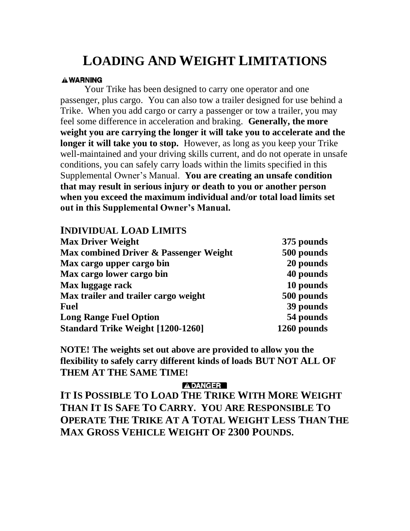# **LOADING AND WEIGHT LIMITATIONS**

#### **A WARNING**

Your Trike has been designed to carry one operator and one passenger, plus cargo. You can also tow a trailer designed for use behind a Trike. When you add cargo or carry a passenger or tow a trailer, you may feel some difference in acceleration and braking. **Generally, the more weight you are carrying the longer it will take you to accelerate and the longer it will take you to stop.** However, as long as you keep your Trike well-maintained and your driving skills current, and do not operate in unsafe conditions, you can safely carry loads within the limits specified in this Supplemental Owner's Manual. **You are creating an unsafe condition that may result in serious injury or death to you or another person when you exceed the maximum individual and/or total load limits set out in this Supplemental Owner's Manual.** 

#### **INDIVIDUAL LOAD LIMITS**

| <b>Max Driver Weight</b>                 | 375 pounds  |
|------------------------------------------|-------------|
| Max combined Driver & Passenger Weight   | 500 pounds  |
| Max cargo upper cargo bin                | 20 pounds   |
| Max cargo lower cargo bin                | 40 pounds   |
| Max luggage rack                         | 10 pounds   |
| Max trailer and trailer cargo weight     | 500 pounds  |
| <b>Fuel</b>                              | 39 pounds   |
| <b>Long Range Fuel Option</b>            | 54 pounds   |
| <b>Standard Trike Weight [1200-1260]</b> | 1260 pounds |

**NOTE! The weights set out above are provided to allow you the flexibility to safely carry different kinds of loads BUT NOT ALL OF THEM AT THE SAME TIME!** 

#### **ADANGER**

**IT IS POSSIBLE TO LOAD THE TRIKE WITH MORE WEIGHT THAN IT IS SAFE TO CARRY. YOU ARE RESPONSIBLE TO OPERATE THE TRIKE AT A TOTAL WEIGHT LESS THAN THE MAX GROSS VEHICLE WEIGHT OF 2300 POUNDS.**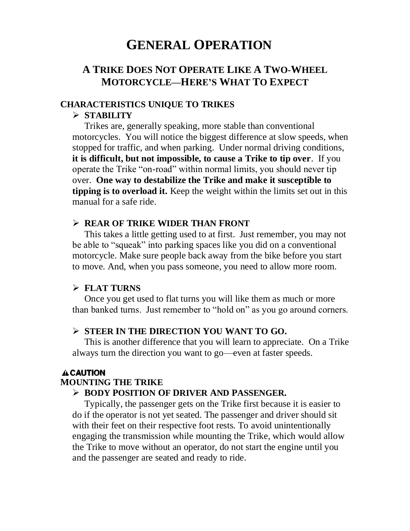## **GENERAL OPERATION**

## **A TRIKE DOES NOT OPERATE LIKE A TWO-WHEEL MOTORCYCLE—HERE'S WHAT TO EXPECT**

#### **CHARACTERISTICS UNIQUE TO TRIKES**

#### ➢ **STABILITY**

Trikes are, generally speaking, more stable than conventional motorcycles. You will notice the biggest difference at slow speeds, when stopped for traffic, and when parking. Under normal driving conditions, **it is difficult, but not impossible, to cause a Trike to tip over**. If you operate the Trike "on-road" within normal limits, you should never tip over. **One way to destabilize the Trike and make it susceptible to tipping is to overload it.** Keep the weight within the limits set out in this manual for a safe ride.

#### ➢ **REAR OF TRIKE WIDER THAN FRONT**

This takes a little getting used to at first. Just remember, you may not be able to "squeak" into parking spaces like you did on a conventional motorcycle. Make sure people back away from the bike before you start to move. And, when you pass someone, you need to allow more room.

#### ➢ **FLAT TURNS**

Once you get used to flat turns you will like them as much or more than banked turns. Just remember to "hold on" as you go around corners.

#### ➢ **STEER IN THE DIRECTION YOU WANT TO GO.**

This is another difference that you will learn to appreciate. On a Trike always turn the direction you want to go—even at faster speeds.

#### **A CAUTION**

#### **MOUNTING THE TRIKE**

#### ➢ **BODY POSITION OF DRIVER AND PASSENGER.**

Typically, the passenger gets on the Trike first because it is easier to do if the operator is not yet seated. The passenger and driver should sit with their feet on their respective foot rests. To avoid unintentionally engaging the transmission while mounting the Trike, which would allow the Trike to move without an operator, do not start the engine until you and the passenger are seated and ready to ride.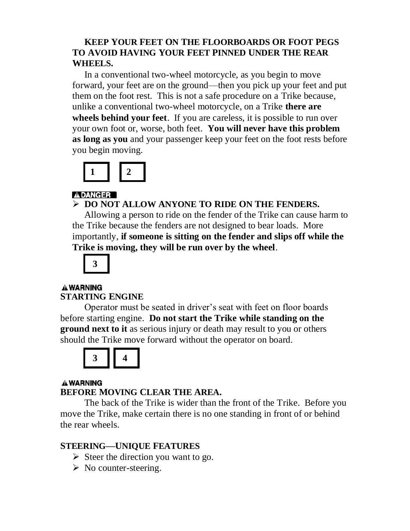#### **KEEP YOUR FEET ON THE FLOORBOARDS OR FOOT PEGS TO AVOID HAVING YOUR FEET PINNED UNDER THE REAR WHEELS.**

In a conventional two-wheel motorcycle, as you begin to move forward, your feet are on the ground—then you pick up your feet and put them on the foot rest. This is not a safe procedure on a Trike because, unlike a conventional two-wheel motorcycle, on a Trike **there are wheels behind your feet**. If you are careless, it is possible to run over your own foot or, worse, both feet. **You will never have this problem as long as you** and your passenger keep your feet on the foot rests before you begin moving.



### **ADANGER**

➢ **DO NOT ALLOW ANYONE TO RIDE ON THE FENDERS.** 

Allowing a person to ride on the fender of the Trike can cause harm to the Trike because the fenders are not designed to bear loads. More importantly, **if someone is sitting on the fender and slips off while the Trike is moving, they will be run over by the wheel**.



#### **AWARNING STARTING ENGINE**

Operator must be seated in driver's seat with feet on floor boards before starting engine. **Do not start the Trike while standing on the ground next to it** as serious injury or death may result to you or others should the Trike move forward without the operator on board.



#### **A WARNING BEFORE MOVING CLEAR THE AREA.**

The back of the Trike is wider than the front of the Trike. Before you move the Trike, make certain there is no one standing in front of or behind the rear wheels.

### **STEERING—UNIQUE FEATURES**

- $\triangleright$  Steer the direction you want to go.
- $\triangleright$  No counter-steering.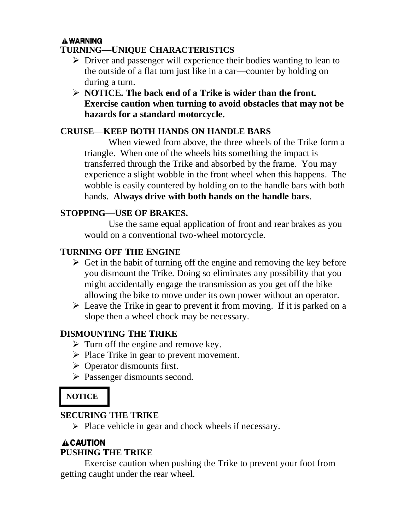## **A WARNING**

#### **TURNING—UNIQUE CHARACTERISTICS**

- ➢ Driver and passenger will experience their bodies wanting to lean to the outside of a flat turn just like in a car—counter by holding on during a turn.
- ➢ **NOTICE. The back end of a Trike is wider than the front. Exercise caution when turning to avoid obstacles that may not be hazards for a standard motorcycle.**

#### **CRUISE—KEEP BOTH HANDS ON HANDLE BARS**

When viewed from above, the three wheels of the Trike form a triangle. When one of the wheels hits something the impact is transferred through the Trike and absorbed by the frame. You may experience a slight wobble in the front wheel when this happens. The wobble is easily countered by holding on to the handle bars with both hands. **Always drive with both hands on the handle bars**.

#### **STOPPING—USE OF BRAKES.**

Use the same equal application of front and rear brakes as you would on a conventional two-wheel motorcycle.

#### **TURNING OFF THE ENGINE**

- $\triangleright$  Get in the habit of turning off the engine and removing the key before you dismount the Trike. Doing so eliminates any possibility that you might accidentally engage the transmission as you get off the bike allowing the bike to move under its own power without an operator.
- $\triangleright$  Leave the Trike in gear to prevent it from moving. If it is parked on a slope then a wheel chock may be necessary.

#### **DISMOUNTING THE TRIKE**

- $\triangleright$  Turn off the engine and remove key.
- ➢ Place Trike in gear to prevent movement.
- $\triangleright$  Operator dismounts first.
- ➢ Passenger dismounts second.

## **NOTICE**

#### **SECURING THE TRIKE**

➢ Place vehicle in gear and chock wheels if necessary.

#### **A CAUTION PUSHING THE TRIKE**

Exercise caution when pushing the Trike to prevent your foot from getting caught under the rear wheel.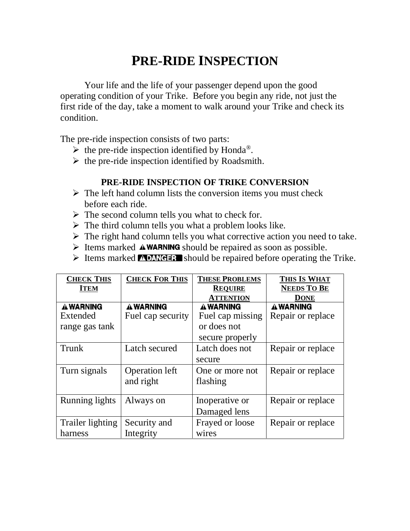# **PRE-RIDE INSPECTION**

Your life and the life of your passenger depend upon the good operating condition of your Trike. Before you begin any ride, not just the first ride of the day, take a moment to walk around your Trike and check its condition.

The pre-ride inspection consists of two parts:

- $\triangleright$  the pre-ride inspection identified by Honda<sup>®</sup>.
- $\triangleright$  the pre-ride inspection identified by Roadsmith.

#### **PRE-RIDE INSPECTION OF TRIKE CONVERSION**

- $\triangleright$  The left hand column lists the conversion items you must check before each ride.
- $\triangleright$  The second column tells you what to check for.
- $\triangleright$  The third column tells you what a problem looks like.
- $\triangleright$  The right hand column tells you what corrective action you need to take.
- $\triangleright$  Items marked **AWARNING** should be repaired as soon as possible.
- $\triangleright$  Items marked **NUMEER** should be repaired before operating the Trike.

| <b>CHECK THIS</b>     | <b>CHECK FOR THIS</b> | <b>THESE PROBLEMS</b> | THIS IS WHAT       |
|-----------------------|-----------------------|-----------------------|--------------------|
| <b>ITEM</b>           |                       | <b>REQUIRE</b>        | <b>NEEDS TO BE</b> |
|                       |                       | <b>ATTENTION</b>      | <b>DONE</b>        |
| <b>A WARNING</b>      | <b>A WARNING</b>      | <b>A WARNING</b>      | <b>A WARNING</b>   |
| Extended              | Fuel cap security     | Fuel cap missing      | Repair or replace  |
| range gas tank        |                       | or does not           |                    |
|                       |                       | secure properly       |                    |
| Trunk                 | Latch secured         | Latch does not        | Repair or replace  |
|                       |                       | secure                |                    |
| Turn signals          | <b>Operation left</b> | One or more not       | Repair or replace  |
|                       | and right             | flashing              |                    |
|                       |                       |                       |                    |
| <b>Running lights</b> | Always on             | Inoperative or        | Repair or replace  |
|                       |                       | Damaged lens          |                    |
| Trailer lighting      | Security and          | Frayed or loose       | Repair or replace  |
| harness               | Integrity             | wires                 |                    |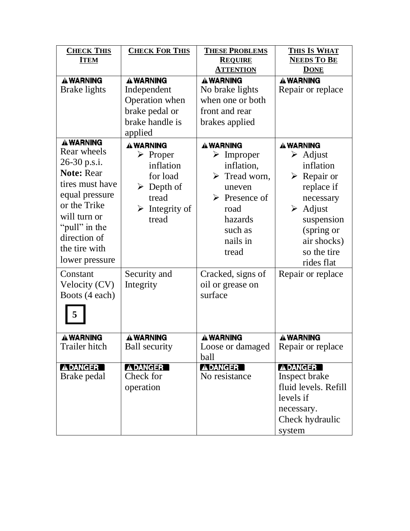| <b>CHECK THIS</b><br><b>ITEM</b>                                                                                                                                                                                          | <b>CHECK FOR THIS</b>                                                                                                                                                | <b>THESE PROBLEMS</b><br><b>REQUIRE</b><br><b>ATTENTION</b>                                                                                                                                            | THIS IS WHAT<br><b>NEEDS TO BE</b><br><b>DONE</b>                                                                                                                                                                                         |
|---------------------------------------------------------------------------------------------------------------------------------------------------------------------------------------------------------------------------|----------------------------------------------------------------------------------------------------------------------------------------------------------------------|--------------------------------------------------------------------------------------------------------------------------------------------------------------------------------------------------------|-------------------------------------------------------------------------------------------------------------------------------------------------------------------------------------------------------------------------------------------|
| <b>A WARNING</b><br>Brake lights                                                                                                                                                                                          | <b>A WARNING</b><br>Independent<br>Operation when<br>brake pedal or<br>brake handle is<br>applied                                                                    | <b>A WARNING</b><br>No brake lights<br>when one or both<br>front and rear<br>brakes applied                                                                                                            | <b>A WARNING</b><br>Repair or replace                                                                                                                                                                                                     |
| <b>A WARNING</b><br>Rear wheels<br>26-30 p.s.i.<br><b>Note: Rear</b><br>tires must have<br>equal pressure<br>or the Trike<br>will turn or<br>"pull" in the<br>direction of<br>the tire with<br>lower pressure<br>Constant | <b>A WARNING</b><br>$\triangleright$ Proper<br>inflation<br>for load<br>$\triangleright$ Depth of<br>tread<br>$\triangleright$ Integrity of<br>tread<br>Security and | A WARNING<br>$\triangleright$ Improper<br>inflation,<br>$\triangleright$ Tread worn,<br>uneven<br>$\triangleright$ Presence of<br>road<br>hazards<br>such as<br>nails in<br>tread<br>Cracked, signs of | <b>A WARNING</b><br>$\triangleright$ Adjust<br>inflation<br>$\triangleright$ Repair or<br>replace if<br>necessary<br>$\triangleright$ Adjust<br>suspension<br>(spring or<br>air shocks)<br>so the tire<br>rides flat<br>Repair or replace |
| Velocity (CV)<br>Boots (4 each)<br>5                                                                                                                                                                                      | Integrity                                                                                                                                                            | oil or grease on<br>surface                                                                                                                                                                            |                                                                                                                                                                                                                                           |
| <b>A WARNING</b><br>Trailer hitch                                                                                                                                                                                         | <b>A WARNING</b><br><b>Ball security</b>                                                                                                                             | <b>A WARNING</b><br>Loose or damaged<br>ball                                                                                                                                                           | <b>A WARNING</b><br>Repair or replace                                                                                                                                                                                                     |
| <b>ADANGER</b><br>Brake pedal                                                                                                                                                                                             | <b>ADANGER</b><br>Check for<br>operation                                                                                                                             | <b>ADANGER</b><br>No resistance                                                                                                                                                                        | <b>ADANGER</b><br>Inspect brake<br>fluid levels. Refill<br>levels if<br>necessary.<br>Check hydraulic<br>system                                                                                                                           |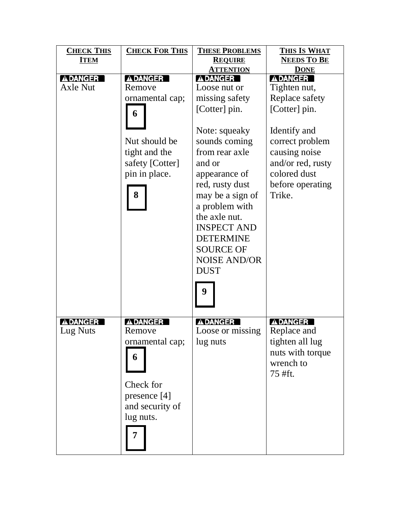| <b>CHECK THIS</b> | <b>CHECK FOR THIS</b> | <b>THESE PROBLEMS</b> | THIS IS WHAT       |
|-------------------|-----------------------|-----------------------|--------------------|
| <b>ITEM</b>       |                       | <b>REQUIRE</b>        | <b>NEEDS TO BE</b> |
|                   |                       | <b>ATTENTION</b>      | <b>DONE</b>        |
| A DANGER          | <b>ADANGER</b>        | <b>ADANGER</b>        | <b>ADANGER</b>     |
| <b>Axle Nut</b>   | Remove                | Loose nut or          | Tighten nut,       |
|                   | ornamental cap;       | missing safety        | Replace safety     |
|                   | 6                     | [Cotter] pin.         | [Cotter] pin.      |
|                   |                       | Note: squeaky         | Identify and       |
|                   | Nut should be         | sounds coming         | correct problem    |
|                   | tight and the         | from rear axle        | causing noise      |
|                   | safety [Cotter]       | and or                | and/or red, rusty  |
|                   | pin in place.         | appearance of         | colored dust       |
|                   |                       |                       |                    |
|                   |                       | red, rusty dust       | before operating   |
|                   | 8                     | may be a sign of      | Trike.             |
|                   |                       | a problem with        |                    |
|                   |                       | the axle nut.         |                    |
|                   |                       | <b>INSPECT AND</b>    |                    |
|                   |                       | <b>DETERMINE</b>      |                    |
|                   |                       | <b>SOURCE OF</b>      |                    |
|                   |                       | <b>NOISE AND/OR</b>   |                    |
|                   |                       | <b>DUST</b>           |                    |
|                   |                       | 9                     |                    |
| A DANGER          | <b>ADANGER</b>        | <b>ADANGER</b>        | <b>ADANGER</b>     |
| Lug Nuts          | Remove                | Loose or missing      | Replace and        |
|                   | ornamental cap;       | lug nuts              | tighten all lug    |
|                   | 6                     |                       | nuts with torque   |
|                   |                       |                       | wrench to          |
|                   |                       |                       | 75 #ft.            |
|                   | Check for             |                       |                    |
|                   | presence [4]          |                       |                    |
|                   | and security of       |                       |                    |
|                   | lug nuts.             |                       |                    |
|                   |                       |                       |                    |
|                   |                       |                       |                    |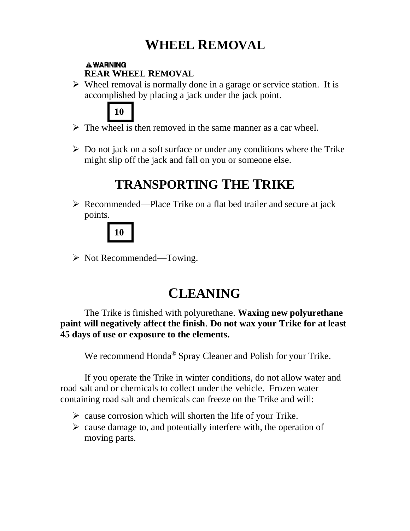# **WHEEL REMOVAL**

#### **A WARNING REAR WHEEL REMOVAL**

 $\triangleright$  Wheel removal is normally done in a garage or service station. It is accomplished by placing a jack under the jack point.



- $\triangleright$  The wheel is then removed in the same manner as a car wheel.
- $\triangleright$  Do not jack on a soft surface or under any conditions where the Trike might slip off the jack and fall on you or someone else.

# **TRANSPORTING THE TRIKE**

➢ Recommended—Place Trike on a flat bed trailer and secure at jack points.



➢ Not Recommended—Towing.

# **CLEANING**

The Trike is finished with polyurethane. **Waxing new polyurethane paint will negatively affect the finish**. **Do not wax your Trike for at least 45 days of use or exposure to the elements.**

We recommend Honda<sup>®</sup> Spray Cleaner and Polish for your Trike.

If you operate the Trike in winter conditions, do not allow water and road salt and or chemicals to collect under the vehicle. Frozen water containing road salt and chemicals can freeze on the Trike and will:

- $\triangleright$  cause corrosion which will shorten the life of your Trike.
- $\triangleright$  cause damage to, and potentially interfere with, the operation of moving parts.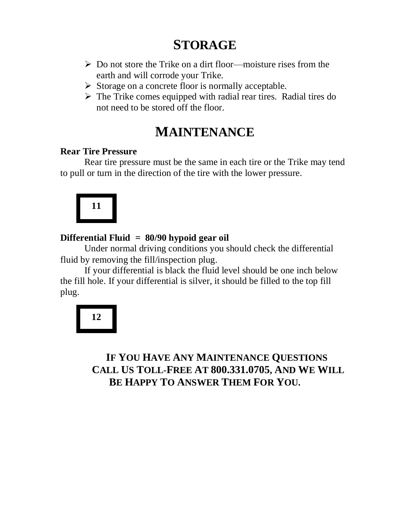# **STORAGE**

- ➢ Do not store the Trike on a dirt floor—moisture rises from the earth and will corrode your Trike.
- ➢ Storage on a concrete floor is normally acceptable.
- ➢ The Trike comes equipped with radial rear tires. Radial tires do not need to be stored off the floor.

## **MAINTENANCE**

#### **Rear Tire Pressure**

Rear tire pressure must be the same in each tire or the Trike may tend to pull or turn in the direction of the tire with the lower pressure.



### **Differential Fluid = 80/90 hypoid gear oil**

Under normal driving conditions you should check the differential fluid by removing the fill/inspection plug.

If your differential is black the fluid level should be one inch below the fill hole. If your differential is silver, it should be filled to the top fill plug.

# **12**

## **IF YOU HAVE ANY MAINTENANCE QUESTIONS CALL US TOLL-FREE AT 800.331.0705, AND WE WILL BE HAPPY TO ANSWER THEM FOR YOU.**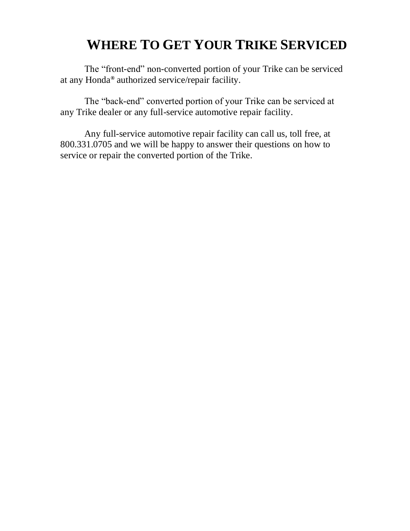# **WHERE TO GET YOUR TRIKE SERVICED**

The "front-end" non-converted portion of your Trike can be serviced at any Honda**®** authorized service/repair facility.

The "back-end" converted portion of your Trike can be serviced at any Trike dealer or any full-service automotive repair facility.

Any full-service automotive repair facility can call us, toll free, at 800.331.0705 and we will be happy to answer their questions on how to service or repair the converted portion of the Trike.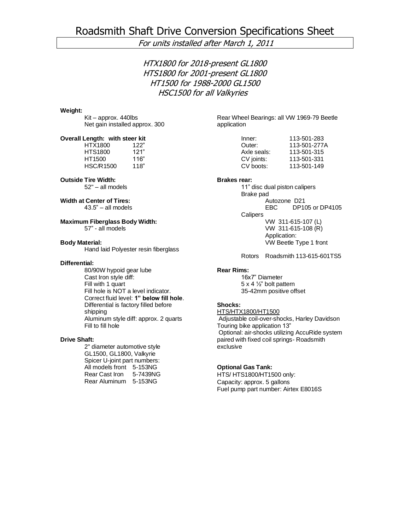#### For units installed after March 1, 2011

HTX1800 for 2018-present GL1800 HTS1800 for 2001-present GL1800 HT1500 for 1988-2000 GL1500 HSC1500 for all Valkyries

#### **Weight:**

Kit – approx. 440lbs Net gain installed approx. 300

#### **Overall Length: with steer kit**

HTX1800 122" HTS1800 121" HT1500 116" HSC/R1500 118"

#### **Outside Tire Width:**

52" – all models

#### **Width at Center of Tires:**

43.5" – all models

#### **Maximum Fiberglass Body Width:** 57" - all models

**Body Material:**

Hand laid Polyester resin fiberglass

#### **Differential:**

80/90W hypoid gear lube Cast Iron style diff: Fill with 1 quart Fill hole is NOT a level indicator. Correct fluid level: **1" below fill hole**. Differential is factory filled before shipping Aluminum style diff: approx. 2 quarts Fill to fill hole

#### **Drive Shaft:**

2" diameter automotive style GL1500, GL1800, Valkyrie Spicer U-joint part numbers: All models front 5-153NG Rear Cast Iron 5-7439NG Rear Aluminum 5-153NG

Rear Wheel Bearings: all VW 1969-79 Beetle application

| 113-501-283  |
|--------------|
| 113-501-277A |
| 113-501-315  |
| 113-501-331  |
| 113-501-149  |
|              |

#### **Brakes rear:**

11" disc dual piston calipers Brake pad Autozone D21 EBC DP105 or DP4105 **Calipers** VW 311-615-107 (L) VW 311-615-108 (R) Application: VW Beetle Type 1 front

Rotors Roadsmith 113-615-601TS5

#### **Rear Rims:**

16x7" Diameter 5 x 4 ½" bolt pattern 35-42mm positive offset

#### **Shocks:**

HTS/HTX1800/HT1500 Adjustable coil-over-shocks, Harley Davidson Touring bike application 13" Optional: air-shocks utilizing AccuRide system paired with fixed coil springs- Roadsmith exclusive

#### **Optional Gas Tank:**

HTS/ HTS1800/HT1500 only: Capacity: approx. 5 gallons Fuel pump part number: Airtex E8016S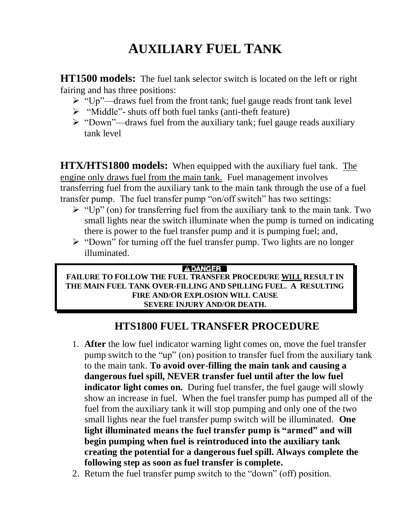# **AUXILIARY FUEL TANK**

**HT1500 models:** The fuel tank selector switch is located on the left or right fairing and has three positions:

- $\triangleright$  "Up"—draws fuel from the front tank; fuel gauge reads front tank level
- ➢ "Middle"- shuts off both fuel tanks (anti-theft feature)
- ➢ "Down"—draws fuel from the auxiliary tank; fuel gauge reads auxiliary tank level

**HTX/HTS1800 models:** When equipped with the auxiliary fuel tank. The engine only draws fuel from the main tank. Fuel management involves transferring fuel from the auxiliary tank to the main tank through the use of a fuel transfer pump. The fuel transfer pump "on/off switch" has two settings:

- $\triangleright$  "Up" (on) for transferring fuel from the auxiliary tank to the main tank. Two small lights near the switch illuminate when the pump is turned on indicating there is power to the fuel transfer pump and it is pumping fuel; and,
- ➢ "Down" for turning off the fuel transfer pump. Two lights are no longer illuminated.

#### **ADANGER**

**FAILURE TO FOLLOW THE FUEL TRANSFER PROCEDURE WILL RESULT IN THE MAIN FUEL TANK OVER-FILLING AND SPILLING FUEL. A RESULTING FIRE AND/OR EXPLOSION WILL CAUSE SEVERE INJURY AND/OR DEATH.**

## **HTS1800 FUEL TRANSFER PROCEDURE**

- 1. **After** the low fuel indicator warning light comes on, move the fuel transfer pump switch to the "up" (on) position to transfer fuel from the auxiliary tank to the main tank. **To avoid over-filling the main tank and causing a dangerous fuel spill, NEVER transfer fuel until after the low fuel indicator light comes on.** During fuel transfer, the fuel gauge will slowly show an increase in fuel. When the fuel transfer pump has pumped all of the fuel from the auxiliary tank it will stop pumping and only one of the two small lights near the fuel transfer pump switch will be illuminated. **One light illuminated means the fuel transfer pump is "armed" and will begin pumping when fuel is reintroduced into the auxiliary tank creating the potential for a dangerous fuel spill. Always complete the following step as soon as fuel transfer is complete.**
- 2. Return the fuel transfer pump switch to the "down" (off) position.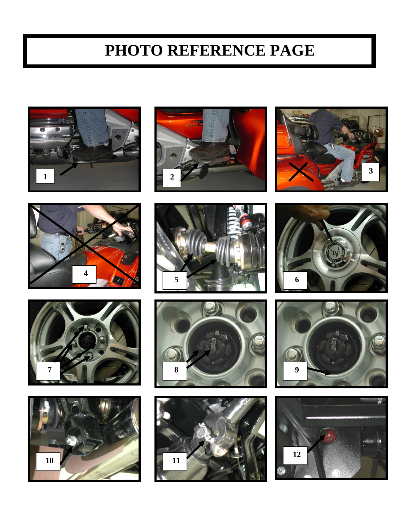# **PHOTO REFERENCE PAGE**